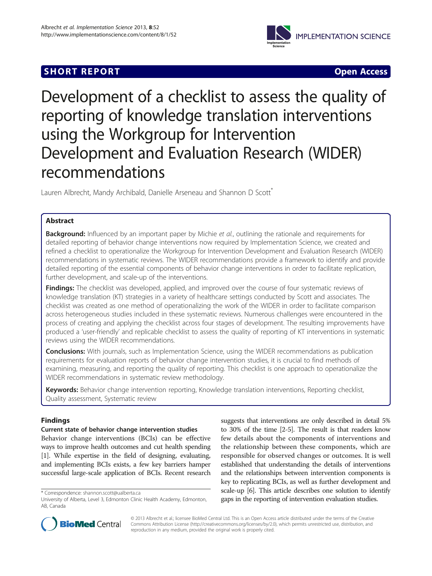## **SHORT REPORT SHORT CONSUMING A SHORT REPORT**



# Development of a checklist to assess the quality of reporting of knowledge translation interventions using the Workgroup for Intervention Development and Evaluation Research (WIDER) recommendations

Lauren Albrecht, Mandy Archibald, Danielle Arseneau and Shannon D Scott<sup>\*</sup>

## Abstract

**Background:** Influenced by an important paper by Michie et al., outlining the rationale and requirements for detailed reporting of behavior change interventions now required by Implementation Science, we created and refined a checklist to operationalize the Workgroup for Intervention Development and Evaluation Research (WIDER) recommendations in systematic reviews. The WIDER recommendations provide a framework to identify and provide detailed reporting of the essential components of behavior change interventions in order to facilitate replication, further development, and scale-up of the interventions.

Findings: The checklist was developed, applied, and improved over the course of four systematic reviews of knowledge translation (KT) strategies in a variety of healthcare settings conducted by Scott and associates. The checklist was created as one method of operationalizing the work of the WIDER in order to facilitate comparison across heterogeneous studies included in these systematic reviews. Numerous challenges were encountered in the process of creating and applying the checklist across four stages of development. The resulting improvements have produced a 'user-friendly' and replicable checklist to assess the quality of reporting of KT interventions in systematic reviews using the WIDER recommendations.

**Conclusions:** With journals, such as Implementation Science, using the WIDER recommendations as publication requirements for evaluation reports of behavior change intervention studies, it is crucial to find methods of examining, measuring, and reporting the quality of reporting. This checklist is one approach to operationalize the WIDER recommendations in systematic review methodology.

Keywords: Behavior change intervention reporting, Knowledge translation interventions, Reporting checklist, Quality assessment, Systematic review

## Findings

## Current state of behavior change intervention studies

Behavior change interventions (BCIs) can be effective ways to improve health outcomes and cut health spending [[1](#page-4-0)]. While expertise in the field of designing, evaluating, and implementing BCIs exists, a few key barriers hamper successful large-scale application of BCIs. Recent research suggests that interventions are only described in detail 5% to 30% of the time [[2-5\]](#page-4-0). The result is that readers know few details about the components of interventions and the relationship between these components, which are responsible for observed changes or outcomes. It is well established that understanding the details of interventions and the relationships between intervention components is key to replicating BCIs, as well as further development and scale-up [[6](#page-4-0)]. This article describes one solution to identify gaps in the reporting of intervention evaluation studies.



© 2013 Albrecht et al.; licensee BioMed Central Ltd. This is an Open Access article distributed under the terms of the Creative Commons Attribution License [\(http://creativecommons.org/licenses/by/2.0\)](http://creativecommons.org/licenses/by/2.0), which permits unrestricted use, distribution, and reproduction in any medium, provided the original work is properly cited.

<sup>\*</sup> Correspondence: [shannon.scott@ualberta.ca](mailto:shannon.scott@ualberta.ca)

University of Alberta, Level 3, Edmonton Clinic Health Academy, Edmonton, AB, Canada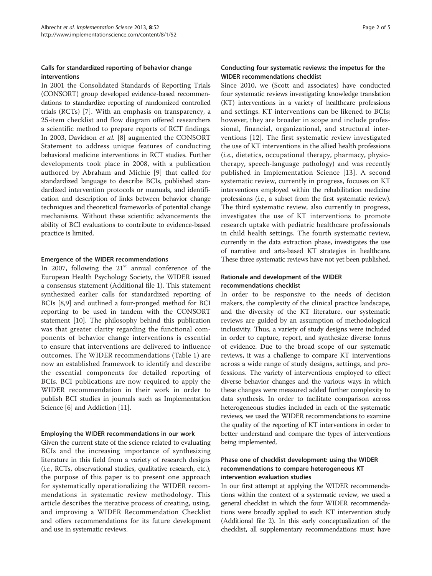### Calls for standardized reporting of behavior change interventions

In 2001 the Consolidated Standards of Reporting Trials (CONSORT) group developed evidence-based recommendations to standardize reporting of randomized controlled trials (RCTs) [\[7](#page-4-0)]. With an emphasis on transparency, a 25-item checklist and flow diagram offered researchers a scientific method to prepare reports of RCT findings. In 2003, Davidson et al. [\[8](#page-4-0)] augmented the CONSORT Statement to address unique features of conducting behavioral medicine interventions in RCT studies. Further developments took place in 2008, with a publication authored by Abraham and Michie [[9](#page-4-0)] that called for standardized language to describe BCIs, published standardized intervention protocols or manuals, and identification and description of links between behavior change techniques and theoretical frameworks of potential change mechanisms. Without these scientific advancements the ability of BCI evaluations to contribute to evidence-based practice is limited.

#### Emergence of the WIDER recommendations

In 2007, following the  $21<sup>st</sup>$  annual conference of the European Health Psychology Society, the WIDER issued a consensus statement (Additional file [1](#page-4-0)). This statement synthesized earlier calls for standardized reporting of BCIs [\[8,9](#page-4-0)] and outlined a four-pronged method for BCI reporting to be used in tandem with the CONSORT statement [\[10](#page-4-0)]. The philosophy behind this publication was that greater clarity regarding the functional components of behavior change interventions is essential to ensure that interventions are delivered to influence outcomes. The WIDER recommendations (Table [1\)](#page-2-0) are now an established framework to identify and describe the essential components for detailed reporting of BCIs. BCI publications are now required to apply the WIDER recommendation in their work in order to publish BCI studies in journals such as Implementation Science [\[6](#page-4-0)] and Addiction [[11\]](#page-4-0).

#### Employing the WIDER recommendations in our work

Given the current state of the science related to evaluating BCIs and the increasing importance of synthesizing literature in this field from a variety of research designs (i.e., RCTs, observational studies, qualitative research, etc.), the purpose of this paper is to present one approach for systematically operationalizing the WIDER recommendations in systematic review methodology. This article describes the iterative process of creating, using, and improving a WIDER Recommendation Checklist and offers recommendations for its future development and use in systematic reviews.

## Conducting four systematic reviews: the impetus for the WIDER recommendations checklist

Since 2010, we (Scott and associates) have conducted four systematic reviews investigating knowledge translation (KT) interventions in a variety of healthcare professions and settings. KT interventions can be likened to BCIs; however, they are broader in scope and include professional, financial, organizational, and structural interventions [[12\]](#page-4-0). The first systematic review investigated the use of KT interventions in the allied health professions (i.e., dietetics, occupational therapy, pharmacy, physiotherapy, speech-language pathology) and was recently published in Implementation Science [[13\]](#page-4-0). A second systematic review, currently in progress, focuses on KT interventions employed within the rehabilitation medicine professions (i.e., a subset from the first systematic review). The third systematic review, also currently in progress, investigates the use of KT interventions to promote research uptake with pediatric healthcare professionals in child health settings. The fourth systematic review, currently in the data extraction phase, investigates the use of narrative and arts-based KT strategies in healthcare. These three systematic reviews have not yet been published.

## Rationale and development of the WIDER recommendations checklist

In order to be responsive to the needs of decision makers, the complexity of the clinical practice landscape, and the diversity of the KT literature, our systematic reviews are guided by an assumption of methodological inclusivity. Thus, a variety of study designs were included in order to capture, report, and synthesize diverse forms of evidence. Due to the broad scope of our systematic reviews, it was a challenge to compare KT interventions across a wide range of study designs, settings, and professions. The variety of interventions employed to effect diverse behavior changes and the various ways in which these changes were measured added further complexity to data synthesis. In order to facilitate comparison across heterogeneous studies included in each of the systematic reviews, we used the WIDER recommendations to examine the quality of the reporting of KT interventions in order to better understand and compare the types of interventions being implemented.

## Phase one of checklist development: using the WIDER recommendations to compare heterogeneous KT intervention evaluation studies

In our first attempt at applying the WIDER recommendations within the context of a systematic review, we used a general checklist in which the four WIDER recommendations were broadly applied to each KT intervention study (Additional file [2\)](#page-4-0). In this early conceptualization of the checklist, all supplementary recommendations must have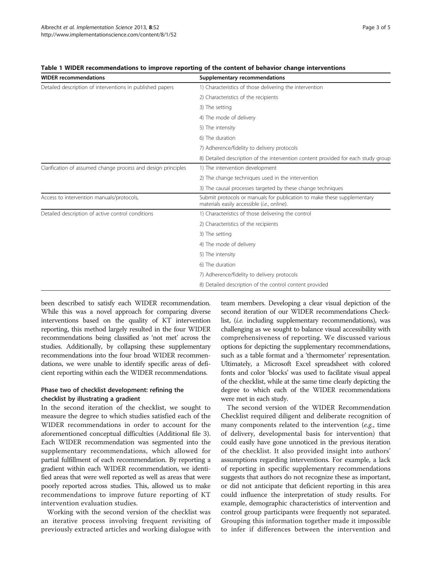| <b>WIDER recommendations</b>                                  | Supplementary recommendations                                                                                          |
|---------------------------------------------------------------|------------------------------------------------------------------------------------------------------------------------|
| Detailed description of interventions in published papers     | 1) Characteristics of those delivering the intervention                                                                |
|                                                               | 2) Characteristics of the recipients                                                                                   |
|                                                               | 3) The setting                                                                                                         |
|                                                               | 4) The mode of delivery                                                                                                |
|                                                               | 5) The intensity                                                                                                       |
|                                                               | 6) The duration                                                                                                        |
|                                                               | 7) Adherence/fidelity to delivery protocols                                                                            |
|                                                               | 8) Detailed description of the intervention content provided for each study group                                      |
| Clarification of assumed change process and design principles | 1) The intervention development                                                                                        |
|                                                               | 2) The change techniques used in the intervention                                                                      |
|                                                               | 3) The causal processes targeted by these change techniques                                                            |
| Access to intervention manuals/protocols,                     | Submit protocols or manuals for publication to make these supplementary<br>materials easily accessible (i.e., online). |
| Detailed description of active control conditions             | 1) Characteristics of those delivering the control                                                                     |
|                                                               | 2) Characteristics of the recipients                                                                                   |
|                                                               | 3) The setting                                                                                                         |
|                                                               | 4) The mode of delivery                                                                                                |
|                                                               | 5) The intensity                                                                                                       |
|                                                               | 6) The duration                                                                                                        |
|                                                               | 7) Adherence/fidelity to delivery protocols                                                                            |
|                                                               | 8) Detailed description of the control content provided                                                                |

<span id="page-2-0"></span>Table 1 WIDER recommendations to improve reporting of the content of behavior change interventions

been described to satisfy each WIDER recommendation. While this was a novel approach for comparing diverse interventions based on the quality of KT intervention reporting, this method largely resulted in the four WIDER recommendations being classified as 'not met' across the studies. Additionally, by collapsing these supplementary recommendations into the four broad WIDER recommendations, we were unable to identify specific areas of deficient reporting within each the WIDER recommendations.

## Phase two of checklist development: refining the checklist by illustrating a gradient

In the second iteration of the checklist, we sought to measure the degree to which studies satisfied each of the WIDER recommendations in order to account for the aforementioned conceptual difficulties (Additional file [3](#page-4-0)). Each WIDER recommendation was segmented into the supplementary recommendations, which allowed for partial fulfillment of each recommendation. By reporting a gradient within each WIDER recommendation, we identified areas that were well reported as well as areas that were poorly reported across studies. This, allowed us to make recommendations to improve future reporting of KT intervention evaluation studies.

Working with the second version of the checklist was an iterative process involving frequent revisiting of previously extracted articles and working dialogue with

team members. Developing a clear visual depiction of the second iteration of our WIDER recommendations Checklist, (i.e. including supplementary recommendations), was challenging as we sought to balance visual accessibility with comprehensiveness of reporting. We discussed various options for depicting the supplementary recommendations, such as a table format and a 'thermometer' representation. Ultimately, a Microsoft Excel spreadsheet with colored fonts and color 'blocks' was used to facilitate visual appeal of the checklist, while at the same time clearly depicting the degree to which each of the WIDER recommendations were met in each study.

The second version of the WIDER Recommendation Checklist required diligent and deliberate recognition of many components related to the intervention (e.g., time of delivery, developmental basis for intervention) that could easily have gone unnoticed in the previous iteration of the checklist. It also provided insight into authors' assumptions regarding interventions. For example, a lack of reporting in specific supplementary recommendations suggests that authors do not recognize these as important, or did not anticipate that deficient reporting in this area could influence the interpretation of study results. For example, demographic characteristics of intervention and control group participants were frequently not separated. Grouping this information together made it impossible to infer if differences between the intervention and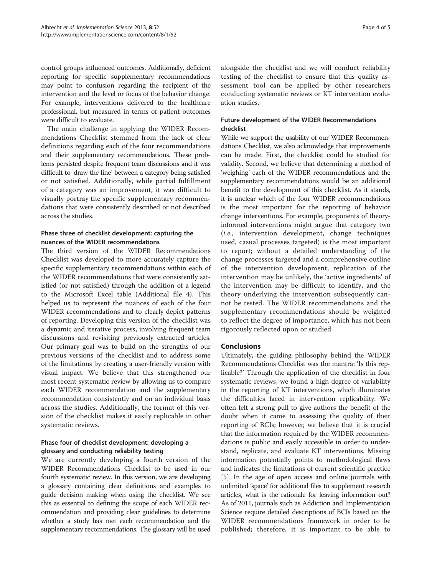control groups influenced outcomes. Additionally, deficient reporting for specific supplementary recommendations may point to confusion regarding the recipient of the intervention and the level or focus of the behavior change. For example, interventions delivered to the healthcare professional, but measured in terms of patient outcomes were difficult to evaluate.

The main challenge in applying the WIDER Recommendations Checklist stemmed from the lack of clear definitions regarding each of the four recommendations and their supplementary recommendations. These problems persisted despite frequent team discussions and it was difficult to 'draw the line' between a category being satisfied or not satisfied. Additionally, while partial fulfillment of a category was an improvement, it was difficult to visually portray the specific supplementary recommendations that were consistently described or not described across the studies.

## Phase three of checklist development: capturing the nuances of the WIDER recommendations

The third version of the WIDER Recommendations Checklist was developed to more accurately capture the specific supplementary recommendations within each of the WIDER recommendations that were consistently satisfied (or not satisfied) through the addition of a legend to the Microsoft Excel table (Additional file [4\)](#page-4-0). This helped us to represent the nuances of each of the four WIDER recommendations and to clearly depict patterns of reporting. Developing this version of the checklist was a dynamic and iterative process, involving frequent team discussions and revisiting previously extracted articles. Our primary goal was to build on the strengths of our previous versions of the checklist and to address some of the limitations by creating a user-friendly version with visual impact. We believe that this strengthened our most recent systematic review by allowing us to compare each WIDER recommendation and the supplementary recommendation consistently and on an individual basis across the studies. Additionally, the format of this version of the checklist makes it easily replicable in other systematic reviews.

## Phase four of checklist development: developing a glossary and conducting reliability testing

We are currently developing a fourth version of the WIDER Recommendations Checklist to be used in our fourth systematic review. In this version, we are developing a glossary containing clear definitions and examples to guide decision making when using the checklist. We see this as essential to defining the scope of each WIDER recommendation and providing clear guidelines to determine whether a study has met each recommendation and the supplementary recommendations. The glossary will be used

alongside the checklist and we will conduct reliability testing of the checklist to ensure that this quality assessment tool can be applied by other researchers conducting systematic reviews or KT intervention evaluation studies.

## Future development of the WIDER Recommendations checklist

While we support the usability of our WIDER Recommendations Checklist, we also acknowledge that improvements can be made. First, the checklist could be studied for validity. Second, we believe that determining a method of 'weighing' each of the WIDER recommendations and the supplementary recommendations would be an additional benefit to the development of this checklist. As it stands, it is unclear which of the four WIDER recommendations is the most important for the reporting of behavior change interventions. For example, proponents of theoryinformed interventions might argue that category two (i.e., intervention development, change techniques used, casual processes targeted) is the most important to report; without a detailed understanding of the change processes targeted and a comprehensive outline of the intervention development, replication of the intervention may be unlikely, the 'active ingredients' of the intervention may be difficult to identify, and the theory underlying the intervention subsequently cannot be tested. The WIDER recommendations and the supplementary recommendations should be weighted to reflect the degree of importance, which has not been rigorously reflected upon or studied.

### Conclusions

Ultimately, the guiding philosophy behind the WIDER Recommendations Checklist was the mantra: 'Is this replicable?' Through the application of the checklist in four systematic reviews, we found a high degree of variability in the reporting of KT interventions, which illuminates the difficulties faced in intervention replicability. We often felt a strong pull to give authors the benefit of the doubt when it came to assessing the quality of their reporting of BCIs; however, we believe that it is crucial that the information required by the WIDER recommendations is public and easily accessible in order to understand, replicate, and evaluate KT interventions. Missing information potentially points to methodological flaws and indicates the limitations of current scientific practice [[5\]](#page-4-0). In the age of open access and online journals with unlimited 'space' for additional files to supplement research articles, what is the rationale for leaving information out? As of 2011, journals such as Addiction and Implementation Science require detailed descriptions of BCIs based on the WIDER recommendations framework in order to be published; therefore, it is important to be able to